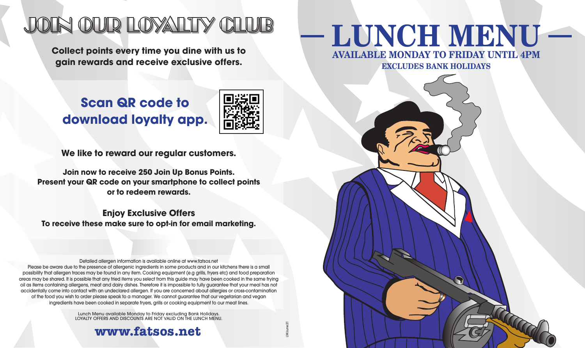# JOIN OUR LOYALTY CLUB

**Collect points every time you dine with us to gain rewards and receive exclusive offers.**

## **Scan QR code to download loyalty app.**



LMJune21

**We like to reward our regular customers.**

**Join now to receive 250 Join Up Bonus Points. Present your QR code on your smartphone to collect points or to redeem rewards.**

**Enjoy Exclusive Offers To receive these make sure to opt-in for email marketing.**

Detailed allergen information is available online at www.fatsos.net Please be aware due to the presence of allergenic ingredients in some products and in our kitchens there is a small possibility that allergen traces may be found in any item. Cooking equipment (e.g grills, fryers etc) and food preparation areas may be shared. It is possible that any fried items you select from this guide may have been cooked in the same frying oil as items containing allergens, meat and dairy dishes. Therefore it is impossible to fully guarantee that your meal has not accidentally come into contact with an undeclared allergen. If you are concerned about allergies or cross-contamination of the food you wish to order please speak to a manager. We cannot guarantee that our vegetarian and vegan ingredients have been cooked in separate fryers, grills or cooking equipment to our meat lines.

> Lunch Menu available Monday to Friday excluding Bank Holidays. LOYALTY OFFERS AND DISCOUNTS ARE NOT VALID ON THE LUNCH MENU.

### **www.fatsos.net**

# **AVAILABLE MONDAY TO FRIDAY UNTIL 4PM LUNCH MENU**